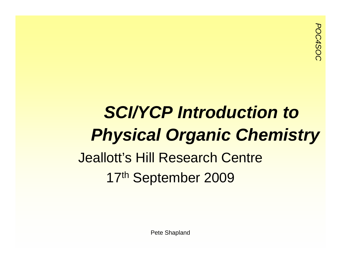## *SCI/YCP Introduction to Physical Organic Chemistry*

### Jeallott's Hill Research Centre 17th September 2009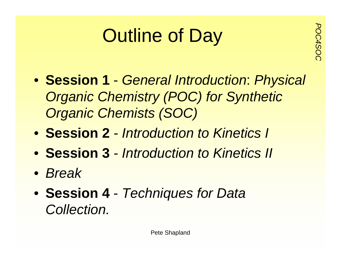# **Putline of Day**

- **Session 1** *General Introduction*: *Physical Organic Chemistry (POC) for Synthetic Organic Chemists (SOC)*
- **Session 2** *- Introduction to Kinetics I*
- **Session 3** *- Introduction to Kinetics II*
- *Break*
- **Session 4** *Techniques for Data Collection.*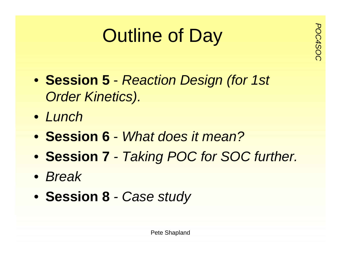# **Putline of Day**<br> **Pay**<br> **Pay**<br> **Pay**<br> **Pay**<br> **Pay**

- **Session 5** *Reaction Design (for 1st Order Kinetics).*
- *Lunch*
- **Session 6** *What does it mean?*
- **Session 7** *- Taking POC for SOC further.*
- *Break*
- **Session 8** *- Case study*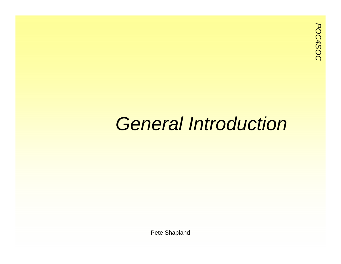### *General Introduction*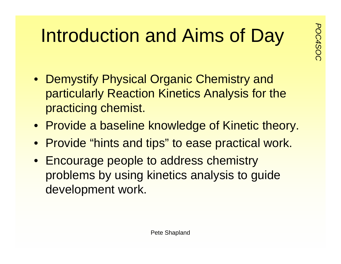## **Portfold and Aims of Day**<br>Reserves the setting of the setting setting and the setting setting and setting and setting and setting and setting and setting and setting and setting and setting and setting and setting and set

- Demystify Physical Organic Chemistry and particularly Reaction Kinetics Analysis for the practicing chemist.
- Provide a baseline knowledge of Kinetic theory.
- Provide "hints and tips" to ease practical work.
- Encourage people to address chemistry problems by using kinetics analysis to guide development work.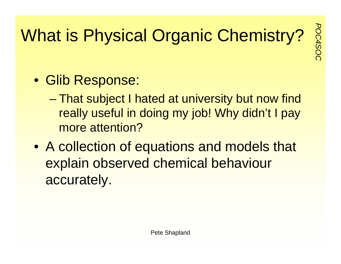## **What is Physical Organic Chemistry?**

- Glib Response:
	- – That subject I hated at university but now find really useful in doing my job! Why didn't I pay more attention?
- A collection of equations and models that explain observed chemical behaviour accurately.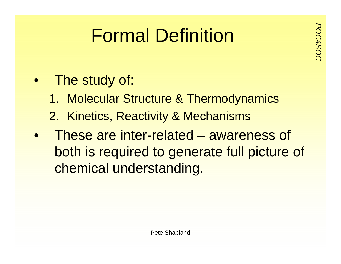## **Formal Definition**

- The study of:
	- 1. Molecular Structure & Thermodynamics
	- 2. Kinetics, Reactivity & Mechanisms
- $\bullet$  These are inter-related – awareness of both is required to generate full picture of chemical understanding.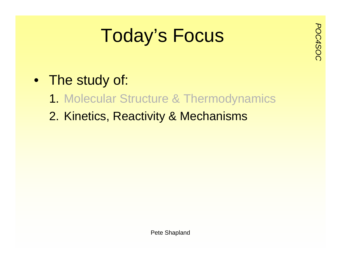# **Procus**<br>**Poday's Focus**

- The study of:
	- 1. Molecular Structure & Thermodynamics
	- 2. Kinetics, Reactivity & Mechanisms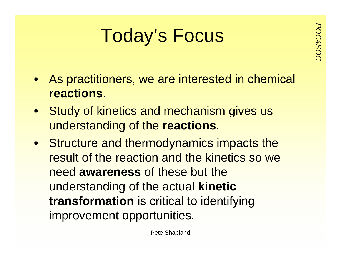# **Procus**<br>**Poday's Focus**

- As practitioners, we are interested in chemical **reactions**.
- Study of kinetics and mechanism gives us understanding of the **reactions**.
- Structure and thermodynamics impacts the result of the reaction and the kinetics so we need **awareness** of these but the understanding of the actual **kinetic transformation** is critical to identifying improvement opportunities.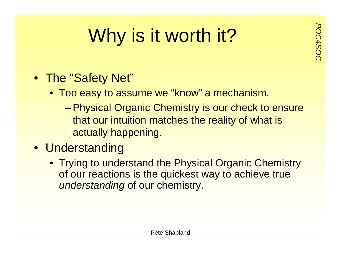## **Porth it?**<br>*Post worth it?*

- The "Safety Net"
	- Too easy to assume we "know" a mechanism.
		- Physical Organic Chemistry is our check to ensure that our intuition matches the reality of what is actually happening.
- Understanding
	- Trying to understand the Physical Organic Chemistry of our reactions is the quickest way to achieve true *understanding* of our chemistry.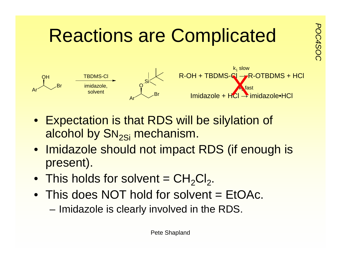

- Expectation is that RDS will be silylation of alcohol by  $SN_{2Si}$  mechanism.
- Imidazole should not impact RDS (if enough is present).
- $\bullet~$  This holds for solvent =  $\mathsf{CH}_2\mathsf{Cl}_2.$
- This does NOT hold for solvent = EtOAc.
	- Imidazole is clearly involved in the RDS.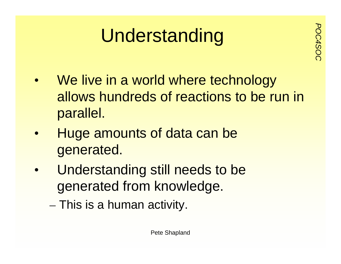# Understanding<br>
<sup>P</sup><sub>SS</sub>

- $\bullet$ We live in a world where technology allows hundreds of reactions to be run in parallel.
- $\bullet$  Huge amounts of data can be generated.
- $\bullet$  Understanding still needs to be generated from knowledge.
	- $-$  This is a human activity.  $\,$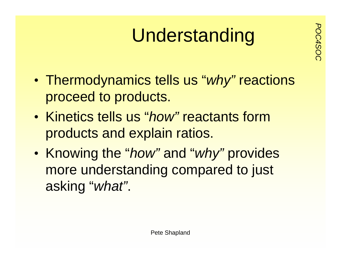# **Understanding**

- $\bullet$  Thermodynamics tells us "*why"* reactions proceed to products.
- Kinetics tells us "*how"* reactants form products and explain ratios.
- $\bullet$  Knowing the "*how"* and "*why"* provides more understanding compared to just asking "*what"*.